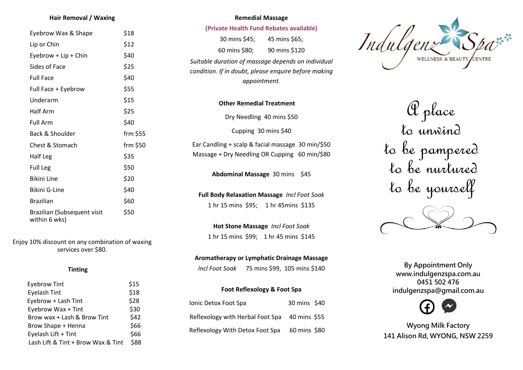#### **Hair Removal / Waxing**

| Eyebrow Wax & Shape                          | \$18      |
|----------------------------------------------|-----------|
| Lip or Chin                                  | \$12      |
| Eyebrow + Lip + Chin                         | \$40      |
| Sides of Face                                | \$25      |
| <b>Full Face</b>                             | \$40      |
| Full Face + Eyebrow                          | \$55      |
| Underarm                                     | \$15      |
| <b>Half Arm</b>                              | \$25      |
| <b>Full Arm</b>                              | \$40      |
| Back & Shoulder                              | $fm$ \$55 |
| Chest & Stomach                              | frm \$50  |
| Half Leg                                     | \$35      |
| <b>Full Leg</b>                              | \$50      |
| <b>Bikini Line</b>                           | \$20      |
| Bikini G-Line                                | \$40      |
| <b>Brazilian</b>                             | \$60      |
| Brazilian (Subsequent visit<br>within 6 wks) | \$50      |

Enjoy 10% discount on any combination of waxing services over \$80.

#### **Tinting**

| <b>Eyebrow Tint</b>                | \$15 |
|------------------------------------|------|
| Eyelash Tint                       | \$18 |
| Eyebrow + Lash Tint                | \$28 |
| Eyebrow Wax + Tint                 | \$30 |
| Brow wax + Lash & Brow Tint        | \$42 |
| Brow Shape + Henna                 | \$66 |
| Eyelash Lift + Tint                | \$66 |
| Lash Lift & Tint + Brow Wax & Tint | \$88 |

# **Remedial Massage (Private Health Fund Rebates available)** 30 mins \$45; 45 mins \$65; 60 mins \$80; 90 mins \$120 *Suitable duration of massage depends on individual condition. If in doubt, please enquire before making appointment.*

**Other Remedial Treatment**

Dry Needling 40 mins \$50

Cupping 30 mins \$40

Ear Candling + scalp & facial massage 30 min/\$50 Massage + Dry Needling OR Cupping 60 min/\$80

**Abdominal Massage** 30 mins \$45

**Full Body Relaxation Massage** *Incl Foot Soak*  1 hr 15 mins \$95; 1 hr 45mins \$135

**Hot Stone Massage** *Incl Foot Soak*  1 hr 15 mins \$99; 1 hr 45 mins \$145

#### **Aromatherapy or Lymphatic Drainage Massage**

*Incl Foot Soak*75 mins \$99, 105 mins \$140

| Foot Reflexology & Foot Spa                   |              |  |
|-----------------------------------------------|--------------|--|
| Ionic Detox Foot Spa                          | 30 mins \$40 |  |
| Reflexology with Herbal Foot Spa 40 mins \$55 |              |  |
| Reflexology With Detox Foot Spa               | 60 mins \$80 |  |



 A place to unwind to be pampered to be nurtured to be yourself

**By Appointment Only www.indulgenzspa.com.au 0451 502 476 indulgenzspa@gmail.com.au**



**Wyong Milk Factory 141 Alison Rd, WYONG, NSW 2259**